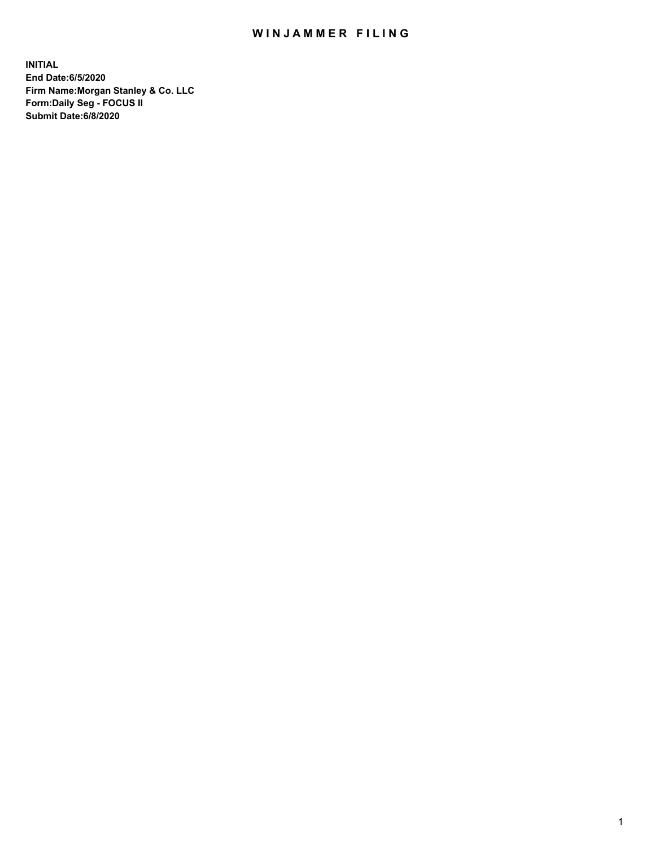## WIN JAMMER FILING

**INITIAL End Date:6/5/2020 Firm Name:Morgan Stanley & Co. LLC Form:Daily Seg - FOCUS II Submit Date:6/8/2020**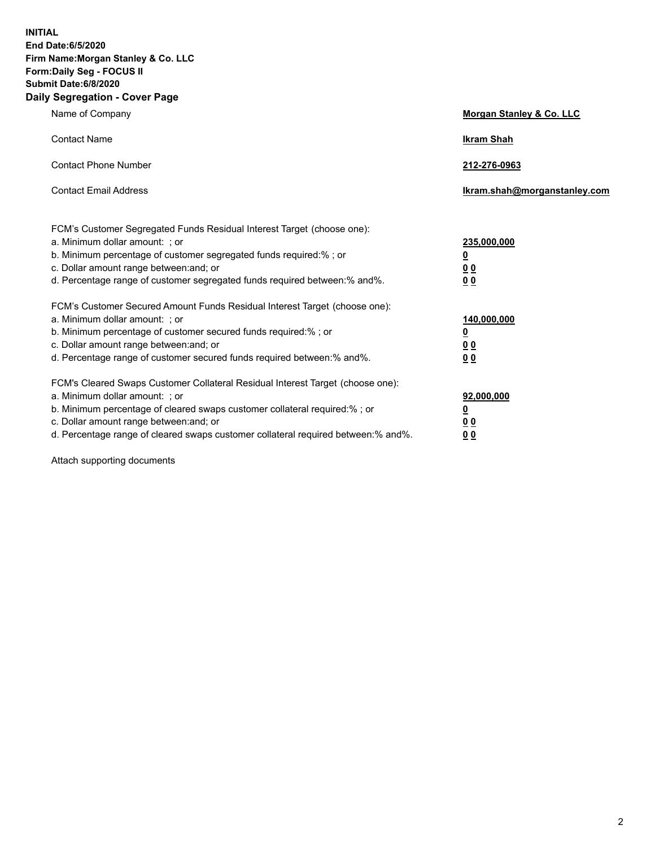**INITIAL End Date:6/5/2020 Firm Name:Morgan Stanley & Co. LLC Form:Daily Seg - FOCUS II Submit Date:6/8/2020 Daily Segregation - Cover Page**

| Name of Company                                                                   | Morgan Stanley & Co. LLC     |
|-----------------------------------------------------------------------------------|------------------------------|
| <b>Contact Name</b>                                                               | <b>Ikram Shah</b>            |
| <b>Contact Phone Number</b>                                                       | 212-276-0963                 |
| <b>Contact Email Address</b>                                                      | lkram.shah@morganstanley.com |
| FCM's Customer Segregated Funds Residual Interest Target (choose one):            |                              |
| a. Minimum dollar amount: ; or                                                    | 235,000,000                  |
| b. Minimum percentage of customer segregated funds required:% ; or                | <u>0</u>                     |
| c. Dollar amount range between: and; or                                           | <u>00</u>                    |
| d. Percentage range of customer segregated funds required between: % and %.       | 00                           |
| FCM's Customer Secured Amount Funds Residual Interest Target (choose one):        |                              |
| a. Minimum dollar amount: : or                                                    | 140,000,000                  |
| b. Minimum percentage of customer secured funds required:%; or                    | <u>0</u>                     |
| c. Dollar amount range between: and; or                                           | 0 <sub>0</sub>               |
| d. Percentage range of customer secured funds required between:% and%.            | 0 <sub>0</sub>               |
| FCM's Cleared Swaps Customer Collateral Residual Interest Target (choose one):    |                              |
| a. Minimum dollar amount: ; or                                                    | 92,000,000                   |
| b. Minimum percentage of cleared swaps customer collateral required:% ; or        | <u>0</u>                     |
| c. Dollar amount range between: and; or                                           | 00                           |
| d. Percentage range of cleared swaps customer collateral required between:% and%. | 0 <sub>0</sub>               |

Attach supporting documents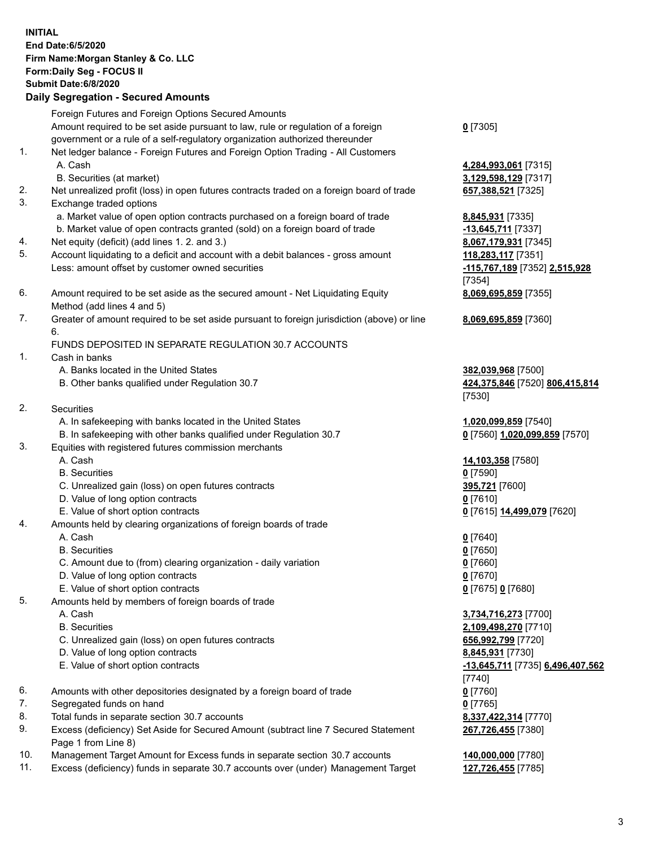| <b>INITIAL</b> | End Date: 6/5/2020<br>Firm Name: Morgan Stanley & Co. LLC<br>Form: Daily Seg - FOCUS II<br>Submit Date: 6/8/2020<br><b>Daily Segregation - Secured Amounts</b>                                                          |                                                                            |
|----------------|-------------------------------------------------------------------------------------------------------------------------------------------------------------------------------------------------------------------------|----------------------------------------------------------------------------|
|                | Foreign Futures and Foreign Options Secured Amounts<br>Amount required to be set aside pursuant to law, rule or regulation of a foreign<br>government or a rule of a self-regulatory organization authorized thereunder | $0$ [7305]                                                                 |
| 1.             | Net ledger balance - Foreign Futures and Foreign Option Trading - All Customers<br>A. Cash<br>B. Securities (at market)                                                                                                 | 4,284,993,061 [7315]<br>3,129,598,129 [7317]                               |
| 2.<br>3.       | Net unrealized profit (loss) in open futures contracts traded on a foreign board of trade<br>Exchange traded options<br>a. Market value of open option contracts purchased on a foreign board of trade                  | 657,388,521 [7325]<br>8,845,931 [7335]                                     |
| 4.<br>5.       | b. Market value of open contracts granted (sold) on a foreign board of trade<br>Net equity (deficit) (add lines 1.2. and 3.)<br>Account liquidating to a deficit and account with a debit balances - gross amount       | -13,645,711 [7337]<br>8,067,179,931 [7345]                                 |
|                | Less: amount offset by customer owned securities                                                                                                                                                                        | 118,283,117 [7351]<br>-115,767,189 [7352] 2,515,928<br>[7354]              |
| 6.             | Amount required to be set aside as the secured amount - Net Liquidating Equity<br>Method (add lines 4 and 5)                                                                                                            | 8,069,695,859 [7355]                                                       |
| 7.             | Greater of amount required to be set aside pursuant to foreign jurisdiction (above) or line<br>6.<br>FUNDS DEPOSITED IN SEPARATE REGULATION 30.7 ACCOUNTS                                                               | 8,069,695,859 [7360]                                                       |
| 1.             | Cash in banks<br>A. Banks located in the United States<br>B. Other banks qualified under Regulation 30.7                                                                                                                | 382,039,968 [7500]<br>424,375,846 [7520] 806,415,814                       |
| 2.             | Securities                                                                                                                                                                                                              | [7530]                                                                     |
| 3.             | A. In safekeeping with banks located in the United States<br>B. In safekeeping with other banks qualified under Regulation 30.7<br>Equities with registered futures commission merchants                                | 1,020,099,859 [7540]<br>0 [7560] 1,020,099,859 [7570]                      |
|                | A. Cash<br><b>B.</b> Securities                                                                                                                                                                                         | 14,103,358 [7580]<br>$0$ [7590]                                            |
|                | C. Unrealized gain (loss) on open futures contracts<br>D. Value of long option contracts<br>E. Value of short option contracts                                                                                          | 395,721 [7600]<br>$0$ [7610]<br>0 [7615] 14,499,079 [7620]                 |
| 4.             | Amounts held by clearing organizations of foreign boards of trade<br>A. Cash                                                                                                                                            | $0$ [7640]                                                                 |
|                | <b>B.</b> Securities<br>C. Amount due to (from) clearing organization - daily variation<br>D. Value of long option contracts<br>E. Value of short option contracts                                                      | $0$ [7650]<br>$0$ [7660]<br>$0$ [7670]<br>0 [7675] 0 [7680]                |
| 5.             | Amounts held by members of foreign boards of trade<br>A. Cash<br><b>B.</b> Securities                                                                                                                                   | 3,734,716,273 [7700]<br>2,109,498,270 [7710]                               |
|                | C. Unrealized gain (loss) on open futures contracts<br>D. Value of long option contracts<br>E. Value of short option contracts                                                                                          | 656,992,799 [7720]<br>8,845,931 [7730]<br>-13,645,711 [7735] 6,496,407,562 |
| 6.<br>7.       | Amounts with other depositories designated by a foreign board of trade<br>Segregated funds on hand                                                                                                                      | [7740]<br>$0$ [7760]<br>$0$ [7765]                                         |
| 8.<br>9.       | Total funds in separate section 30.7 accounts<br>Excess (deficiency) Set Aside for Secured Amount (subtract line 7 Secured Statement<br>Page 1 from Line 8)                                                             | 8,337,422,314 [7770]<br>267,726,455 [7380]                                 |
| 10.<br>11.     | Management Target Amount for Excess funds in separate section 30.7 accounts<br>Excess (deficiency) funds in separate 30.7 accounts over (under) Management Target                                                       | 140,000,000 [7780]<br>127,726,455 [7785]                                   |

3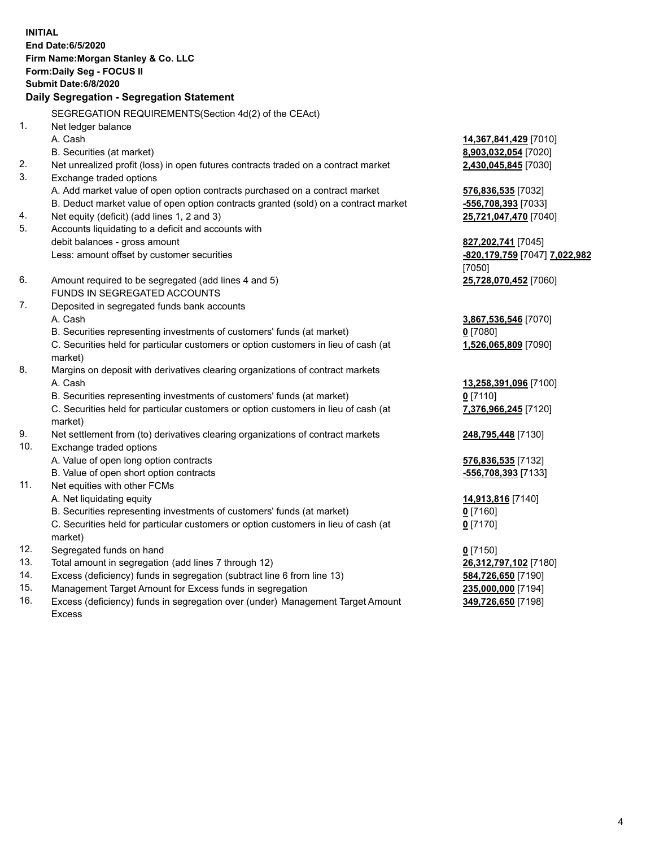| <b>INITIAL</b> | End Date: 6/5/2020<br>Firm Name: Morgan Stanley & Co. LLC<br>Form: Daily Seg - FOCUS II<br><b>Submit Date:6/8/2020</b><br>Daily Segregation - Segregation Statement |                               |
|----------------|---------------------------------------------------------------------------------------------------------------------------------------------------------------------|-------------------------------|
|                | SEGREGATION REQUIREMENTS(Section 4d(2) of the CEAct)                                                                                                                |                               |
| 1.             | Net ledger balance                                                                                                                                                  |                               |
|                | A. Cash                                                                                                                                                             | 14,367,841,429 [7010]         |
|                | B. Securities (at market)                                                                                                                                           | 8,903,032,054 [7020]          |
| 2.             | Net unrealized profit (loss) in open futures contracts traded on a contract market                                                                                  | 2,430,045,845 [7030]          |
| 3.             | Exchange traded options                                                                                                                                             |                               |
|                | A. Add market value of open option contracts purchased on a contract market                                                                                         | 576,836,535 [7032]            |
|                | B. Deduct market value of open option contracts granted (sold) on a contract market                                                                                 | -556,708,393 [7033]           |
| 4.             | Net equity (deficit) (add lines 1, 2 and 3)                                                                                                                         | 25,721,047,470 [7040]         |
| 5.             | Accounts liquidating to a deficit and accounts with                                                                                                                 |                               |
|                | debit balances - gross amount                                                                                                                                       | 827, 202, 741 [7045]          |
|                | Less: amount offset by customer securities                                                                                                                          | -820,179,759 [7047] 7,022,982 |
|                |                                                                                                                                                                     | [7050]                        |
| 6.             | Amount required to be segregated (add lines 4 and 5)                                                                                                                | 25,728,070,452 [7060]         |
|                | FUNDS IN SEGREGATED ACCOUNTS                                                                                                                                        |                               |
| 7.             | Deposited in segregated funds bank accounts                                                                                                                         |                               |
|                | A. Cash                                                                                                                                                             | 3,867,536,546 [7070]          |
|                | B. Securities representing investments of customers' funds (at market)                                                                                              | $0$ [7080]                    |
|                | C. Securities held for particular customers or option customers in lieu of cash (at<br>market)                                                                      | 1,526,065,809 [7090]          |
| 8.             | Margins on deposit with derivatives clearing organizations of contract markets                                                                                      |                               |
|                | A. Cash                                                                                                                                                             | 13,258,391,096 [7100]         |
|                | B. Securities representing investments of customers' funds (at market)                                                                                              | $0$ [7110]                    |
|                | C. Securities held for particular customers or option customers in lieu of cash (at<br>market)                                                                      | 7,376,966,245 [7120]          |
| 9.             | Net settlement from (to) derivatives clearing organizations of contract markets                                                                                     | 248,795,448 [7130]            |
| 10.            | Exchange traded options                                                                                                                                             |                               |
|                | A. Value of open long option contracts                                                                                                                              | 576,836,535 [7132]            |
|                | B. Value of open short option contracts                                                                                                                             | -556,708,393 [7133]           |
| 11.            | Net equities with other FCMs                                                                                                                                        |                               |
|                | A. Net liquidating equity                                                                                                                                           | 14,913,816 [7140]             |
|                | B. Securities representing investments of customers' funds (at market)                                                                                              | $0$ [7160]                    |
|                | C. Securities held for particular customers or option customers in lieu of cash (at<br>market)                                                                      | $0$ [7170]                    |
| 12.            | Segregated funds on hand                                                                                                                                            | $0$ [7150]                    |
| 13.            | Total amount in segregation (add lines 7 through 12)                                                                                                                | 26,312,797,102 [7180]         |
| 14.            | Excess (deficiency) funds in segregation (subtract line 6 from line 13)                                                                                             | 584,726,650 [7190]            |
|                |                                                                                                                                                                     |                               |

- 
- 15. Management Target Amount for Excess funds in segregation<br>16. Excess (deficiency) funds in segregation over (under) Management Target Amount **235,000,000** [7198] Excess (deficiency) funds in segregation over (under) Management Target Amount Excess

**349,726,650** [7198]